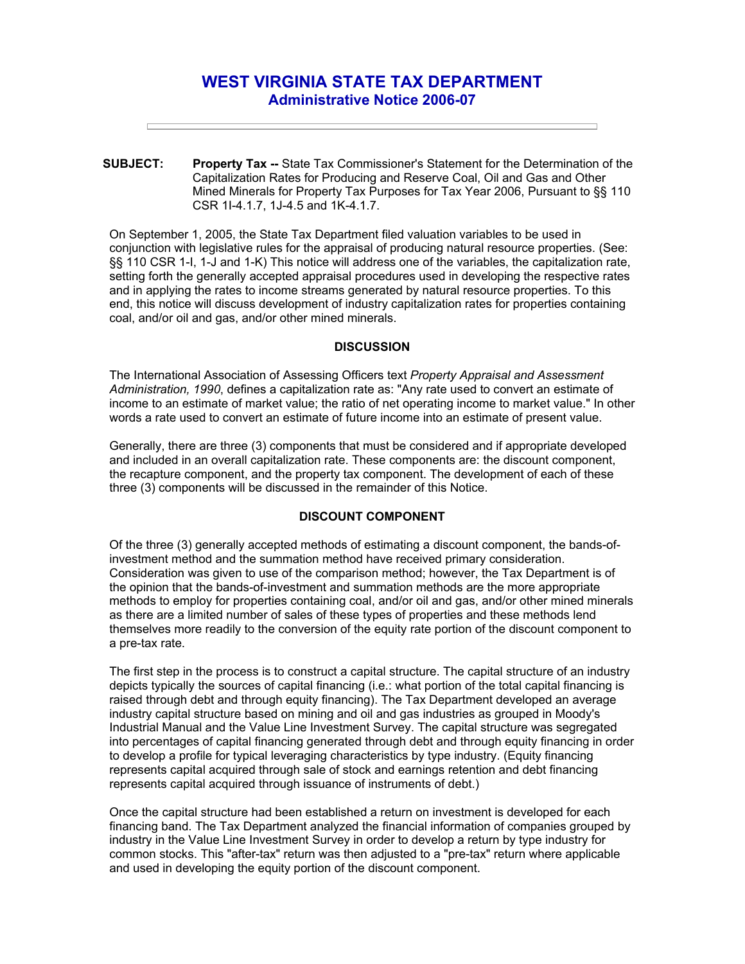# **WEST VIRGINIA STATE TAX DEPARTMENT Administrative Notice 2006-07**

**SUBJECT: Property Tax --** State Tax Commissioner's Statement for the Determination of the Capitalization Rates for Producing and Reserve Coal, Oil and Gas and Other Mined Minerals for Property Tax Purposes for Tax Year 2006, Pursuant to §§ 110 CSR 1I-4.1.7, 1J-4.5 and 1K-4.1.7.

On September 1, 2005, the State Tax Department filed valuation variables to be used in conjunction with legislative rules for the appraisal of producing natural resource properties. (See: §§ 110 CSR 1-I, 1-J and 1-K) This notice will address one of the variables, the capitalization rate, setting forth the generally accepted appraisal procedures used in developing the respective rates and in applying the rates to income streams generated by natural resource properties. To this end, this notice will discuss development of industry capitalization rates for properties containing coal, and/or oil and gas, and/or other mined minerals.

#### **DISCUSSION**

The International Association of Assessing Officers text *Property Appraisal and Assessment Administration, 1990*, defines a capitalization rate as: "Any rate used to convert an estimate of income to an estimate of market value; the ratio of net operating income to market value." In other words a rate used to convert an estimate of future income into an estimate of present value.

Generally, there are three (3) components that must be considered and if appropriate developed and included in an overall capitalization rate. These components are: the discount component, the recapture component, and the property tax component. The development of each of these three (3) components will be discussed in the remainder of this Notice.

# **DISCOUNT COMPONENT**

Of the three (3) generally accepted methods of estimating a discount component, the bands-ofinvestment method and the summation method have received primary consideration. Consideration was given to use of the comparison method; however, the Tax Department is of the opinion that the bands-of-investment and summation methods are the more appropriate methods to employ for properties containing coal, and/or oil and gas, and/or other mined minerals as there are a limited number of sales of these types of properties and these methods lend themselves more readily to the conversion of the equity rate portion of the discount component to a pre-tax rate.

The first step in the process is to construct a capital structure. The capital structure of an industry depicts typically the sources of capital financing (i.e.: what portion of the total capital financing is raised through debt and through equity financing). The Tax Department developed an average industry capital structure based on mining and oil and gas industries as grouped in Moody's Industrial Manual and the Value Line Investment Survey. The capital structure was segregated into percentages of capital financing generated through debt and through equity financing in order to develop a profile for typical leveraging characteristics by type industry. (Equity financing represents capital acquired through sale of stock and earnings retention and debt financing represents capital acquired through issuance of instruments of debt.)

Once the capital structure had been established a return on investment is developed for each financing band. The Tax Department analyzed the financial information of companies grouped by industry in the Value Line Investment Survey in order to develop a return by type industry for common stocks. This "after-tax" return was then adjusted to a "pre-tax" return where applicable and used in developing the equity portion of the discount component.